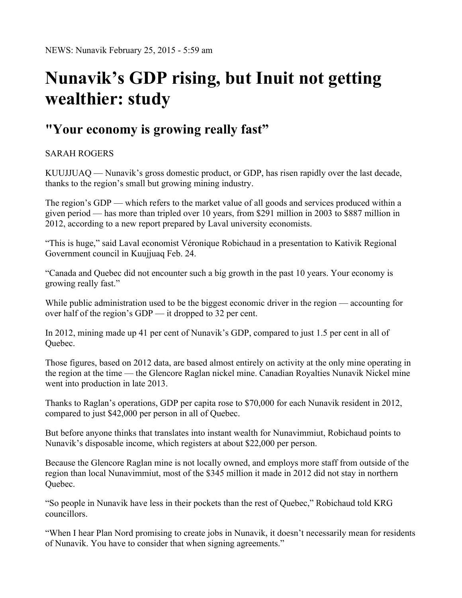## **Nunavik's GDP rising, but Inuit not getting wealthier: study**

## **"Your economy is growing really fast"**

## SARAH ROGERS

KUUJJUAQ — Nunavik's gross domestic product, or GDP, has risen rapidly over the last decade, thanks to the region's small but growing mining industry.

The region's GDP — which refers to the market value of all goods and services produced within a given period — has more than tripled over 10 years, from \$291 million in 2003 to \$887 million in 2012, according to a new report prepared by Laval university economists.

"This is huge," said Laval economist Véronique Robichaud in a presentation to Kativik Regional Government council in Kuujjuaq Feb. 24.

"Canada and Quebec did not encounter such a big growth in the past 10 years. Your economy is growing really fast."

While public administration used to be the biggest economic driver in the region — accounting for over half of the region's GDP — it dropped to 32 per cent.

In 2012, mining made up 41 per cent of Nunavik's GDP, compared to just 1.5 per cent in all of Quebec.

Those figures, based on 2012 data, are based almost entirely on activity at the only mine operating in the region at the time — the Glencore Raglan nickel mine. Canadian Royalties Nunavik Nickel mine went into production in late 2013.

Thanks to Raglan's operations, GDP per capita rose to \$70,000 for each Nunavik resident in 2012, compared to just \$42,000 per person in all of Quebec.

But before anyone thinks that translates into instant wealth for Nunavimmiut, Robichaud points to Nunavik's disposable income, which registers at about \$22,000 per person.

Because the Glencore Raglan mine is not locally owned, and employs more staff from outside of the region than local Nunavimmiut, most of the \$345 million it made in 2012 did not stay in northern Quebec.

"So people in Nunavik have less in their pockets than the rest of Quebec," Robichaud told KRG councillors.

"When I hear Plan Nord promising to create jobs in Nunavik, it doesn't necessarily mean for residents of Nunavik. You have to consider that when signing agreements."